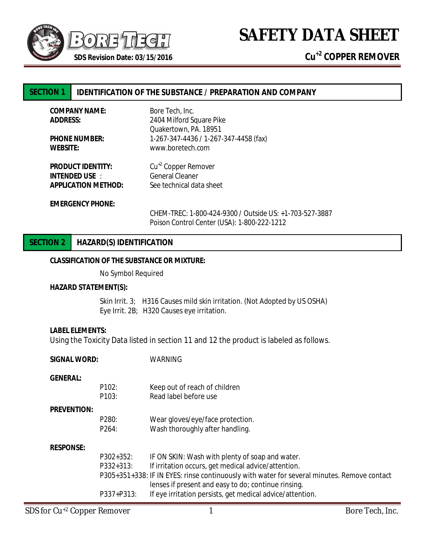

**SAFETY DATA SHEET**

# **SECTION 1 IDENTIFICATION OF THE SUBSTANCE / PREPARATION AND COMPANY**

| <b>COMPANY NAME:</b>       | Bore Tech, Inc.                                         |
|----------------------------|---------------------------------------------------------|
| <b>ADDRESS:</b>            | 2404 Milford Square Pike                                |
|                            | Quakertown, PA. 18951                                   |
| <b>PHONE NUMBER:</b>       | 1-267-347-4436 / 1-267-347-4458 (fax)                   |
| <b>WEBSITE:</b>            | www.boretech.com                                        |
| <b>PRODUCT IDENTITY:</b>   | Cu <sup>+2</sup> Copper Remover                         |
| <b>INTENDED USE :</b>      | General Cleaner                                         |
| <b>APPLICATION METHOD:</b> | See technical data sheet                                |
| <b>EMERGENCY PHONE:</b>    |                                                         |
|                            | CHEM-TREC: 1-800-424-9300 / Outside US: +1-703-527-3887 |
|                            | Poison Control Center (USA): 1-800-222-1212             |

## **SECTION 2 HAZARD(S) IDENTIFICATION**

#### **CLASSIFICATION OF THE SUBSTANCE OR MIXTURE:**

No Symbol Required

#### **HAZARD STATEMENT(S):**

Skin Irrit. 3; H316 Causes mild skin irritation. (Not Adopted by US OSHA) Eye Irrit. 2B; H320 Causes eye irritation.

#### **LABEL ELEMENTS:**

Using the Toxicity Data listed in section 11 and 12 the product is labeled as follows.

| <b>SIGNAL WORD:</b> |                    | WARNING                                                                                                                                            |  |
|---------------------|--------------------|----------------------------------------------------------------------------------------------------------------------------------------------------|--|
| <b>GENERAL:</b>     |                    |                                                                                                                                                    |  |
|                     | P <sub>102</sub> : | Keep out of reach of children                                                                                                                      |  |
|                     | P103:              | Read label before use                                                                                                                              |  |
| <b>PREVENTION:</b>  |                    |                                                                                                                                                    |  |
|                     | P280:              | Wear gloves/eye/face protection.                                                                                                                   |  |
|                     | P264:              | Wash thoroughly after handling.                                                                                                                    |  |
| <b>RESPONSE:</b>    |                    |                                                                                                                                                    |  |
|                     | P302+352:          | IF ON SKIN: Wash with plenty of soap and water.                                                                                                    |  |
|                     | P332+313:          | If irritation occurs, get medical advice/attention.                                                                                                |  |
|                     |                    | P305+351+338: IF IN EYES: rinse continuously with water for several minutes. Remove contact<br>lenses if present and easy to do; continue rinsing. |  |
|                     | P337+P313:         | If eye irritation persists, get medical advice/attention.                                                                                          |  |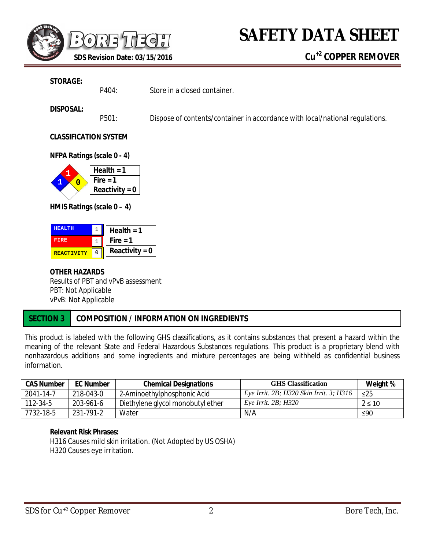

### **STORAGE:**

P404: Store in a closed container.

## **DISPOSAL:**

P501: Dispose of contents/container in accordance with local/national regulations.

## **CLASSIFICATION SYSTEM**

**NFPA Ratings (scale 0 - 4)**



**HMIS Ratings (scale 0 – 4)**

| <b>HEALTH</b>     | Health = $1$     |
|-------------------|------------------|
| <b>FTRE</b>       | Fire $= 1$       |
| <b>REACTIVITY</b> | Reactivity = $0$ |

## **OTHER HAZARDS** Results of PBT and *v*P*v*B assessment PBT: Not Applicable *v*P*v*B: Not Applicable

# **SECTION 3 COMPOSITION / INFORMATION ON INGREDIENTS**

This product is labeled with the following GHS classifications, as it contains substances that present a hazard within the meaning of the relevant State and Federal Hazardous Substances regulations. This product is a proprietary blend with nonhazardous additions and some ingredients and mixture percentages are being withheld as confidential business information.

| <b>CAS Number</b> | <b>EC Number</b> | <b>Chemical Designations</b>      | <b>GHS Classification</b>               | Weight %   |
|-------------------|------------------|-----------------------------------|-----------------------------------------|------------|
| 2041-14-7         | 218-043-0        | 2-Aminoethylphosphonic Acid       | Eye Irrit. 2B; H320 Skin Irrit. 3; H316 | $\leq$ 25  |
| 112-34-5          | 203-961-6        | Diethylene glycol monobutyl ether | Eye Irrit. $2B$ ; H320                  | $2 \le 10$ |
| 7732-18-5         | 231-791-2        | Water                             | N/A                                     | ≤90        |

## **Relevant Risk Phrases:**

H316 Causes mild skin irritation. (Not Adopted by US OSHA) H320 Causes eye irritation.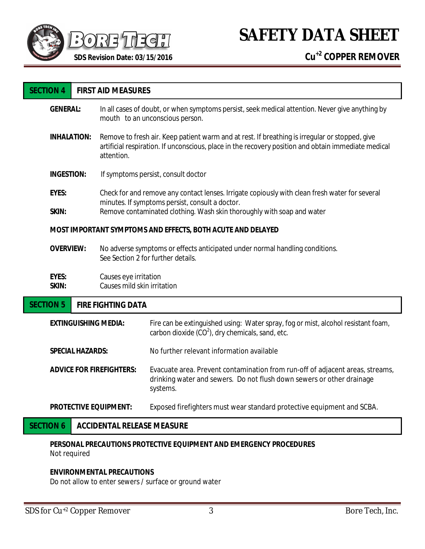

**SAFETY DATA SHEET**

| <b>SECTION 4</b>                                                   | <b>FIRST AID MEASURES</b>                                                                                                                                                                                           |                                                                                                                                                                    |  |  |
|--------------------------------------------------------------------|---------------------------------------------------------------------------------------------------------------------------------------------------------------------------------------------------------------------|--------------------------------------------------------------------------------------------------------------------------------------------------------------------|--|--|
| <b>GENERAL:</b>                                                    |                                                                                                                                                                                                                     | In all cases of doubt, or when symptoms persist, seek medical attention. Never give anything by<br>mouth to an unconscious person.                                 |  |  |
| <b>INHALATION:</b>                                                 | Remove to fresh air. Keep patient warm and at rest. If breathing is irregular or stopped, give<br>artificial respiration. If unconscious, place in the recovery position and obtain immediate medical<br>attention. |                                                                                                                                                                    |  |  |
| <b>INGESTION:</b>                                                  |                                                                                                                                                                                                                     | If symptoms persist, consult doctor                                                                                                                                |  |  |
| <b>EYES:</b>                                                       | Check for and remove any contact lenses. Irrigate copiously with clean fresh water for several<br>minutes. If symptoms persist, consult a doctor.                                                                   |                                                                                                                                                                    |  |  |
| SKIN:                                                              |                                                                                                                                                                                                                     | Remove contaminated clothing. Wash skin thoroughly with soap and water                                                                                             |  |  |
|                                                                    | MOST IMPORTANT SYMPTOMS AND EFFECTS, BOTH ACUTE AND DELAYED                                                                                                                                                         |                                                                                                                                                                    |  |  |
| <b>OVERVIEW:</b>                                                   | No adverse symptoms or effects anticipated under normal handling conditions.<br>See Section 2 for further details.                                                                                                  |                                                                                                                                                                    |  |  |
| <b>EYES:</b><br>SKIN:                                              | Causes eye irritation<br>Causes mild skin irritation                                                                                                                                                                |                                                                                                                                                                    |  |  |
| <b>SECTION 5</b>                                                   | <b>FIRE FIGHTING DATA</b>                                                                                                                                                                                           |                                                                                                                                                                    |  |  |
| <b>EXTINGUISHING MEDIA:</b>                                        |                                                                                                                                                                                                                     | Fire can be extinguished using: Water spray, fog or mist, alcohol resistant foam,<br>carbon dioxide $(CO2)$ , dry chemicals, sand, etc.                            |  |  |
| <b>SPECIAL HAZARDS:</b>                                            |                                                                                                                                                                                                                     | No further relevant information available                                                                                                                          |  |  |
| <b>ADVICE FOR FIREFIGHTERS:</b>                                    |                                                                                                                                                                                                                     | Evacuate area. Prevent contamination from run-off of adjacent areas, streams,<br>drinking water and sewers. Do not flush down sewers or other drainage<br>systems. |  |  |
| <b>PROTECTIVE EQUIPMENT:</b>                                       |                                                                                                                                                                                                                     | Exposed firefighters must wear standard protective equipment and SCBA.                                                                                             |  |  |
| <b>SECTION 6</b>                                                   | <b>ACCIDENTAL RELEASE MEASURE</b>                                                                                                                                                                                   |                                                                                                                                                                    |  |  |
| PERSONAL PRECAUTIONS PROTECTIVE EQUIPMENT AND EMERGENCY PROCEDURES |                                                                                                                                                                                                                     |                                                                                                                                                                    |  |  |

Not required

# **ENVIRONMENTAL PRECAUTIONS**

Do not allow to enter sewers / surface or ground water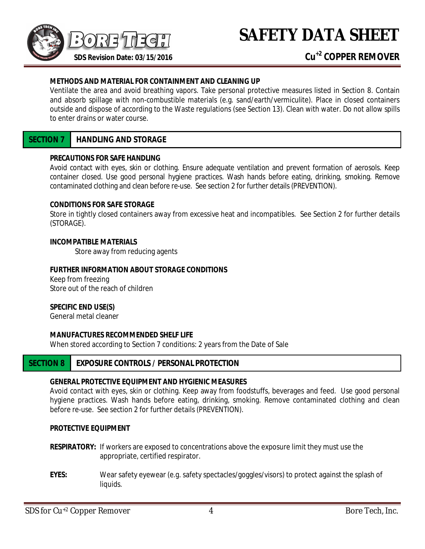

## **METHODS AND MATERIAL FOR CONTAINMENT AND CLEANING UP**

Ventilate the area and avoid breathing vapors. Take personal protective measures listed in Section 8. Contain and absorb spillage with non-combustible materials (e.g. sand/earth/vermiculite). Place in closed containers outside and dispose of according to the Waste regulations (see Section 13). Clean with water. Do not allow spills to enter drains or water course.

# **SECTION 7 HANDLING AND STORAGE**

#### **PRECAUTIONS FOR SAFE HANDLING**

Avoid contact with eyes, skin or clothing. Ensure adequate ventilation and prevent formation of aerosols. Keep container closed. Use good personal hygiene practices. Wash hands before eating, drinking, smoking. Remove contaminated clothing and clean before re-use. See section 2 for further details (PREVENTION).

#### **CONDITIONS FOR SAFE STORAGE**

Store in tightly closed containers away from excessive heat and incompatibles. See Section 2 for further details (STORAGE).

#### **INCOMPATIBLE MATERIALS**

Store away from reducing agents

#### **FURTHER INFORMATION ABOUT STORAGE CONDITIONS**

Keep from freezing Store out of the reach of children

## **SPECIFIC END USE(S)**

General metal cleaner

## **MANUFACTURES RECOMMENDED SHELF LIFE**

When stored according to Section 7 conditions: 2 years from the Date of Sale

# **SECTION 8 EXPOSURE CONTROLS / PERSONAL PROTECTION**

## **GENERAL PROTECTIVE EQUIPMENT AND HYGIENIC MEASURES**

Avoid contact with eyes, skin or clothing. Keep away from foodstuffs, beverages and feed. Use good personal hygiene practices. Wash hands before eating, drinking, smoking. Remove contaminated clothing and clean before re-use. See section 2 for further details (PREVENTION).

### **PROTECTIVE EQUIPMENT**

- **RESPIRATORY:** If workers are exposed to concentrations above the exposure limit they must use the appropriate, certified respirator.
- **EYES:** Wear safety eyewear (e.g. safety spectacles/goggles/visors) to protect against the splash of liquids.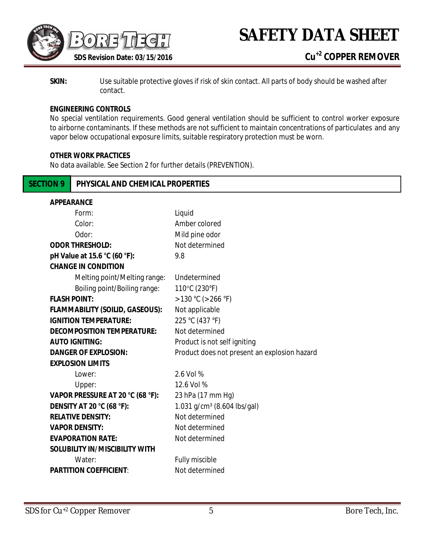

**SKIN:** Use suitable protective gloves if risk of skin contact. All parts of body should be washed after contact.

## **ENGINEERING CONTROLS**

No special ventilation requirements. Good general ventilation should be sufficient to control worker exposure to airborne contaminants. If these methods are not sufficient to maintain concentrations of particulates and any vapor below occupational exposure limits, suitable respiratory protection must be worn.

#### **OTHER WORK PRACTICES**

No data available. See Section 2 for further details (PREVENTION).

# **SECTION 9 PHYSICAL AND CHEMICAL PROPERTIES**

| <b>APPEARANCE</b>                      |                                              |
|----------------------------------------|----------------------------------------------|
| Form:                                  | Liquid                                       |
| Color:                                 | Amber colored                                |
| Odor:                                  | Mild pine odor                               |
| <b>ODOR THRESHOLD:</b>                 | Not determined                               |
| pH Value at 15.6 °C (60 °F):           | 9.8                                          |
| <b>CHANGE IN CONDITION</b>             |                                              |
| Melting point/Melting range:           | Undetermined                                 |
| Boiling point/Boiling range:           | 110°C (230°F)                                |
| <b>FLASH POINT:</b>                    | $>130$ °C ( $>266$ °F)                       |
| <b>FLAMMABILITY (SOILID, GASEOUS):</b> | Not applicable                               |
| <b>IGNITION TEMPERATURE:</b>           | 225 °C (437 °F)                              |
| <b>DECOMPOSITION TEMPERATURE:</b>      | Not determined                               |
| <b>AUTO IGNITING:</b>                  | Product is not self igniting                 |
| <b>DANGER OF EXPLOSION:</b>            | Product does not present an explosion hazard |
| <b>EXPLOSION LIMITS</b>                |                                              |
| Lower:                                 | 2.6 Vol %                                    |
| Upper:                                 | 12.6 Vol %                                   |
| VAPOR PRESSURE AT 20 °C (68 °F):       | 23 hPa (17 mm Hg)                            |
| <b>DENSITY AT 20 °C (68 °F):</b>       | 1.031 g/cm <sup>3</sup> (8.604 lbs/gal)      |
| <b>RELATIVE DENSITY:</b>               | Not determined                               |
| <b>VAPOR DENSITY:</b>                  | Not determined                               |
| <b>EVAPORATION RATE:</b>               | Not determined                               |
| <b>SOLUBILITY IN/MISCIBILITY WITH</b>  |                                              |
| Water:                                 | Fully miscible                               |
| <b>PARTITION COEFFICIENT:</b>          | Not determined                               |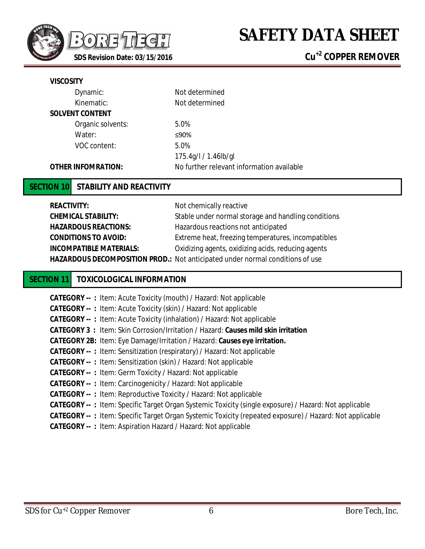

| Dynamic:                  | Not determined                            |
|---------------------------|-------------------------------------------|
| Kinematic:                | Not determined                            |
| <b>SOLVENT CONTENT</b>    |                                           |
| Organic solvents:         | 5.0%                                      |
| Water:                    | ≤90%                                      |
| VOC content:              | 5.0%                                      |
|                           | 175.4g/l / 1.46lb/gl                      |
| <b>OTHER INFOMRATION:</b> | No further relevant information available |

# **SECTION 10 STABILITY AND REACTIVITY**

| <b>REACTIVITY:</b>             | Not chemically reactive                                                              |
|--------------------------------|--------------------------------------------------------------------------------------|
| <b>CHEMICAL STABILITY:</b>     | Stable under normal storage and handling conditions                                  |
| <b>HAZARDOUS REACTIONS:</b>    | Hazardous reactions not anticipated                                                  |
| <b>CONDITIONS TO AVOID:</b>    | Extreme heat, freezing temperatures, incompatibles                                   |
| <b>INCOMPATIBLE MATERIALS:</b> | Oxidizing agents, oxidizing acids, reducing agents                                   |
|                                | <b>HAZARDOUS DECOMPOSITION PROD.:</b> Not anticipated under normal conditions of use |

# **SECTION 11 TOXICOLOGICAL INFORMATION**

| <b>CATEGORY --: Item: Acute Toxicity (mouth) / Hazard: Not applicable</b>                                      |
|----------------------------------------------------------------------------------------------------------------|
| <b>CATEGORY --: Item: Acute Toxicity (skin) / Hazard: Not applicable</b>                                       |
| <b>CATEGORY --: Item: Acute Toxicity (inhalation) / Hazard: Not applicable</b>                                 |
| <b>CATEGORY 3: Item: Skin Corrosion/Irritation / Hazard: Causes mild skin irritation</b>                       |
| <b>CATEGORY 2B:</b> Item: Eye Damage/Irritation / Hazard: Causes eye irritation.                               |
| <b>CATEGORY --: Item: Sensitization (respiratory) / Hazard: Not applicable</b>                                 |
| <b>CATEGORY --: Item: Sensitization (skin) / Hazard: Not applicable</b>                                        |
| <b>CATEGORY --: Item: Germ Toxicity / Hazard: Not applicable</b>                                               |
| <b>CATEGORY --: Item: Carcinogenicity / Hazard: Not applicable</b>                                             |
| <b>CATEGORY --: Item: Reproductive Toxicity / Hazard: Not applicable</b>                                       |
| <b>CATEGORY --: Item: Specific Target Organ Systemic Toxicity (single exposure) / Hazard: Not applicable</b>   |
| <b>CATEGORY --: Item: Specific Target Organ Systemic Toxicity (repeated exposure) / Hazard: Not applicable</b> |
| <b>CATEGORY --: Item: Aspiration Hazard / Hazard: Not applicable</b>                                           |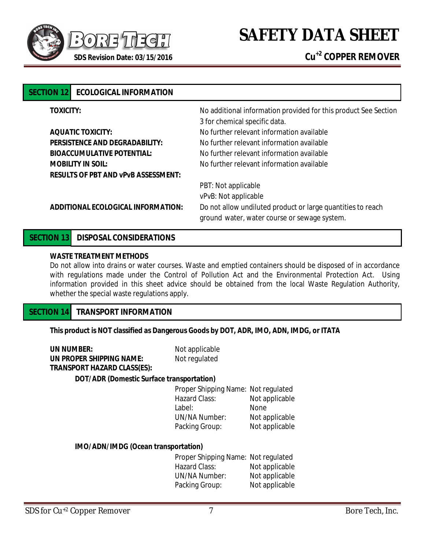

| <b>SECTION 121</b>       | <b>ECOLOGICAL INFORMATION</b>              |                                                                                                             |  |
|--------------------------|--------------------------------------------|-------------------------------------------------------------------------------------------------------------|--|
| <b>TOXICITY:</b>         |                                            | No additional information provided for this product See Section<br>3 for chemical specific data.            |  |
|                          | <b>AQUATIC TOXICITY:</b>                   | No further relevant information available                                                                   |  |
|                          | <b>PERSISTENCE AND DEGRADABILITY:</b>      | No further relevant information available                                                                   |  |
|                          | <b>BIOACCUMULATIVE POTENTIAL:</b>          | No further relevant information available                                                                   |  |
| <b>MOBILITY IN SOIL:</b> |                                            | No further relevant information available                                                                   |  |
|                          | <b>RESULTS OF PBT AND VPVB ASSESSMENT:</b> |                                                                                                             |  |
|                          |                                            | PBT: Not applicable                                                                                         |  |
|                          |                                            | vPvB: Not applicable                                                                                        |  |
|                          | ADDITIONAL ECOLOGICAL INFORMATION:         | Do not allow undiluted product or large quantities to reach<br>ground water, water course or sewage system. |  |
|                          |                                            |                                                                                                             |  |

# **SECTION 13 DISPOSAL CONSIDERATIONS**

## **WASTE TREATMENT METHODS**

Do not allow into drains or water courses. Waste and emptied containers should be disposed of in accordance with regulations made under the Control of Pollution Act and the Environmental Protection Act. Using information provided in this sheet advice should be obtained from the local Waste Regulation Authority, whether the special waste regulations apply.

# **SECTION 14 TRANSPORT INFORMATION**

**This product is NOT classified as Dangerous Goods by DOT, ADR, IMO, ADN, IMDG, or ITATA**

| <b>UN NUMBER:</b>                         | Not applicable               |       |
|-------------------------------------------|------------------------------|-------|
| UN PROPER SHIPPING NAME:                  | Not regulated                |       |
| <b>TRANSPORT HAZARD CLASS(ES):</b>        |                              |       |
| DOT/ADR (Domestic Surface transportation) |                              |       |
|                                           | Proper Shipping Name: Not re |       |
|                                           | <b>Hazard Class:</b>         | Not a |
|                                           | Label:                       | None  |
|                                           | UN/NA Number:                | Not a |

| Proper Shipping Name: Not regulated |                |
|-------------------------------------|----------------|
| <b>Hazard Class:</b>                | Not applicable |
| Label:                              | None           |
| <b>UN/NA Number:</b>                | Not applicable |
| Packing Group:                      | Not applicable |
|                                     |                |

#### **IMO/ADN/IMDG (Ocean transportation)**

Proper Shipping Name: Not regulated Hazard Class: Not applicable<br>
UN/NA Number: Not applicable Not applicable Packing Group: Not applicable